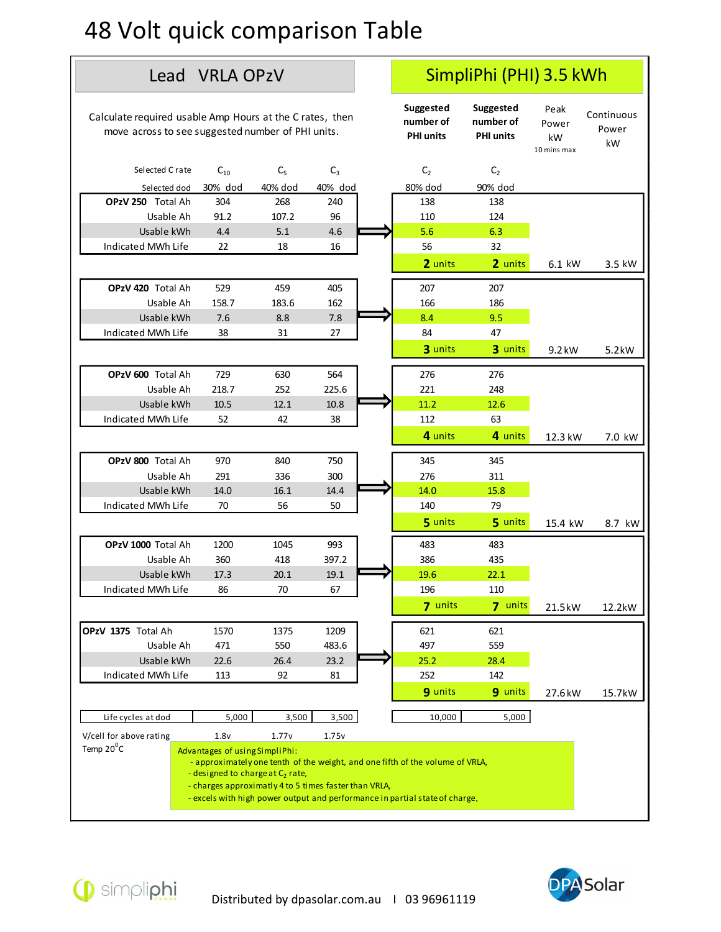## 48 Volt quick comparison Table

## Suggested Suggested Peak number of number of Power PHI units PHI units  $kW = \frac{1}{2} m$ Peak Continuous Power  $kW$   $kM$ Power<br>
Power<br>
kW<br>
10 mins max kW Power kW Selected C rate C<sub>10</sub> C<sub>5</sub> C<sub>3</sub> C<sub>2</sub> C<sub>2</sub> C<sub>2</sub> **Simpliphi (PHI) 3.5 kWh**<br>
Lead VRLA OP2V<br>
Simpliphi (PHI) 3.5 kWh<br>
suggested Suggested Peak Continuous<br>
rorss to see suggested number of PHI units.<br>
Heterd Crate C<sub>ID</sub> C<sub>5</sub> C<sub>3</sub> C<sub>2</sub> C<sub>2</sub> C<sub>2</sub> C<sub>2</sub> C<sub>2</sub><br>
Selected dod 30% OPzV 250 Total Ah 304 268 240 138 138 **It quick comparison Table**<br>
Lead VRLA OPzV SimpliPhi (PHI) 3.5 kWh<br>
suggested suggested Peak Continuous<br>
Sos to see suggested number of PHI units.<br>
exted Crate C<sub>10</sub> C<sub>5</sub> C<sub>3</sub> C<sub>2</sub> C<sub>2</sub><br>
exted Crate C<sub>10</sub> C<sub>5</sub> C<sub>3</sub> C<sub>2</sub> **Simpliphi (PHI) 3.5 kWh**<br>
equired usable Amp Hours at the Crates, then<br>
equired usable Amp Hours at the Crates, then<br>
suggested a suggested problem<br>
electred Crate C<sub>10</sub> C<sub>3</sub> C<sub>3</sub> C<sub>2</sub> C<sub>2</sub><br>
significance C<sub>10</sub> C<sub>3</sub> C<sub>3</sub> C **SVOIT QUICK COMPONERISON Table**<br>
Lead VRLA OPzV<br>
culate required usable Amp Hours at the Crates, then<br>
move across to see suggested number of PHI units.<br>
Selected Crate C<sub>tn</sub> C<sub>tn</sub> C<sub>5</sub> C<sub>5</sub> C<sub>5</sub> C<sub>5</sub><br>
Selected Crate C<sub>t</sub> **SimpliPhi (PHI) 3.5 kWh**<br>
Lead VRLA OP2V SimpliPhi (PHI) 3.5 kWh<br>
equired usable Amp Hours at the Crates, then<br>
suggested suggested Peak Continuous<br>
cross to see suggested number of PHI units.<br>
atected Crate C<sub>10</sub> C<sub>3</sub> C **OPzV 420** Total Ah 529 459 405 207 207 207 **It quick comparison Table**<br>
Lead VRLA OPzV SimpliPhi (PHI) 3.5 kWh<br>
suggested suggested windows<br>
susted crate  $C_{32}$   $C_2$   $C_3$   $C_4$  continuous<br>
state crate  $C_{33}$   $C_3$   $C_4$   $C_5$   $C_6$ <br>
exted crate  $C_{32}$   $C_5$  ON THE COMPOSITION TRISHER (PHI) 3.5 KWh<br>
equired usable Amp Hours at the Crates, then<br>
equired usable Amp Hours at the Crates, then<br>
summer of PHI units and the President of Pack Continuous<br>
electric Crate C<sub>19</sub> C<sub>2</sub> C<sub>2</sub> Calculate required usable Amp Hours at the Crates, then<br>
suggested Suggested Suggested Peak Continuous<br>
move across to see suggested number of PH units.<br>
Selected Crate C<sub>to</sub> C<sub>2</sub> C<sub>3</sub> C<sub>2</sub> C<sub>2</sub> C<sub>2</sub> C<sub>2</sub> C<sub>2</sub> C<sub>2</sub> C<sub>2</sub> C Lead VRLA OPzV<br>
equired usable Amp Hours at the Crates, then<br>
suggested Suggested Peak<br>
suggested of Peak Continuous<br>
rotos to see suggested number of PHI units<br>
elected Crate C<sub>6</sub> C<sub>6</sub> C<sub>6</sub> C<sub>6</sub> C<sub>6</sub> C<sub>6</sub><br>
Sielacted Crate **OPzV 600** Total Ah 729 630 564 | 276 276 pured usable Amp Hours at the Crates, then<br>
sos to see suggested number of PHI units<br>
exted Crate C<sub>32</sub> C<sub>3</sub> C<sub>4</sub> C<sub>4</sub><br>
exted Crate C<sub>32</sub> C<sub>3</sub> C<sub>4</sub> C<sub>4</sub><br>
exterd tod 30% dod 40% dod 40% dod<br>
stable Ah 304 268 240<br>
USable Ah equired usable Amp Hours at the Crates, then<br>
ventered of mumber of munder of power<br>
ventered Crates<br>
ventered Crates<br>
selected Crates<br>
Selected Crates<br>
Usable Amp 10.5 20.1 20.1 20.4<br>
Usable Amp 10.5 20.1 20.1 20.1 20.1 2 movie acros to see suggested number of PHI units.<br>
Selected Crate C<sub>to</sub> C<sub>5</sub> C<sub>3</sub> C<sub>2</sub> C<sub>3</sub><br>
Selected dual 30% dod 40% dod 40% dod<br>
OPrV 200 Total Ah 304 200 200 32 42<br>
Usable Akm 4.4 5.1 4.6 5.6 6.3<br>
Usable Akm 1.52 18 16 elected Crate C<sub>30</sub> C<sub>3</sub> C<sub>3</sub> C<sub>4</sub> C<sub>4</sub> C<sub>3</sub> 19 minismax KW<br>
Usable A 10 1 ottal Ah 304 268 240<br>
Usable KWh 4.4 5.1 4.6 110 124<br>
Usable KWh 4.4 5.2 18 16 5.6 8.3<br>
SLABINE KWh 1.629 459 405 6.3<br>
20 Total Ah 5.29 459 405 200 OPzV 800 Total Ah 970 840 750 | 345 345 elected 30% dold 40% dold 40% dold 30% dold 30% dold 30% dold<br>
ITotal Ah 304 356 32<br>
INVIES 22 18 16 5.6 6.3<br>
AMVN Life 22 18 16 5.6 6.3<br>
NMN Life 22 18 16 5.6 6.3<br>
20 170 170 170 170 18 18 20 18 18 4<br>
AMVN Life 38 31 27 8 Usable kWh 14.0 16.1 14.4 14.0 15.8 1. Usable AMh 1922 1923<br>
Indicated MWh Life 72 16 12 107.2 96<br>
Indicated MWh Life 70 1846<br>
Indicated MWh Life 70 50 120<br>
1. Usable AMh 159 189 189 189 189 189<br>
1. Usable AMh 159 189 189 189 189 189<br>
Indicated MWh Life 188 3. Joshid KWh 144<br>
1. 20 Total Ah 3.52 6.5 6.2 20 mits 6.1 kW 3.5 kW<br>
1. 20 Total Ah 3.52 6.5 162<br>
1. 20 Total Ah 3.52 6.5 162<br>
1. 20 Total Ah 3.52 6.8 5.7 1.<br>
1. 20 Total Ah 2.87 2.52 6.8 5.8 1.1 2.48<br>
1. 20 Total Ah 2.1 **OPzV 1000** Total Ah 1200 1045 993 483 483 483 Usable Ah 360 418 397.2 386 435 20 Total Ah 1367 183.5 16 201<br>
Usable kWh 15.8 20 36 162<br>
30 Total Ah 1367 183.5 162<br>
30 Total Ah 1729 630 564 276 276<br>
Usable kWh 10.6 5 12.1 10.8 22.1 22.6<br>
Usable kWh 10.6 5 12.1 22.1 22.5 22.1 22.5 22.1 22.5 23.1 112<br> Indicated MWh Life 86 70 67 196 110 Usable kWn 7.6 8.8 7.8 7.8 8.4 9.5 7.8 8.4 4.7 8 4.4 9.5 7.8 8.4 4.7 8 30 mits 9.2 kw<br>
2.6 8.6 7.8 8.4 4.7 8 30 mits 9.2 kw<br>
2.8 8.6 8.6 7.2 75 22.5 6 7.2 7.2 2.4 2.8 8.5 8.6 7.2 7.2 2.4 2.5 8.<br>
Usable kWn 11.6 9.2 32 35 9 **OPzV 1375** Total Ah 1570 1375 1209 1 1621 621 1 Total Ah 218.7 200 564 5 1112 2 28<br>
1 200 1045 8 12.1 10.8 2 225.6 2 225.6 2 225.6 2 225.6 2 225.6 2 225.6 2 225.6 2 225.6 2 225.6 2 225.6 2 225<br>
MMhulfe 52 42 38<br>
1 11.2 12.6 4 1 33.6 300 12.1 10.8 4 1115 4 10115 4 1011 Usable kWh 22.6 26.4 23.2 25.2 28.4 Usable Ah 213.7 252 225.6<br>
Indicated MWh Life 12<br>
Usable KWh 10.5 12.1 10.8<br>
Usable Ah 291 386 300<br>
Usable Ah 291 386 300<br>
Usable Ah 291 385 300<br>
Usable Ah 291 385 300<br>
Usable Ah 1200 1645 993<br>
Usable AWh 116 70 56 50<br>
Us 9 10.5 12.1 10.8 11.2 12.6<br>
9 12.2 12.5 12.3 12.6 12.3 kw 7.0 kw<br>
1 970 840 750<br>
1 291 336 300<br>
1 14.0 15.5 345<br>
1 14.0 15.8<br>
1 15.8 16.9 14.0 15.8<br>
1 16.6 14.4 14.9 15.8<br>
1 16.9 14.0 15.8<br>
1 16.9 14.9 15.8<br>
1 17.3 20.1 19 30% 40% 40% 80% 90% 3.072 1.7 Life cycles at dod 5,000 1 3,500 3,500 3,500 3,500 3,500 10,000 5,000 1<br>
Usery 200 Total Ah 120 16.1 14.4 5 11.8 14.4 5 11.8 14.4 5 11.8 14.4 15.8 1 Middlete WWh 11.6 70 56 50 30 140<br>
Usable kWh 17.3 20.1 19.1 5 11.6 5 1 Temp  $20^{\circ}$ C It quick comparison Table<br>
Lead VRLA OPzV<br>
United usable Amp Hours at the Crates, then<br>
Suggested Suggested Peak Continuous<br>
Sus to see suggested number of PHI units.<br>
PHI units<br>
PHI units<br>
PHI units<br>
PHI units<br>
PHI units<br> Advantages of using SimpliPhi: 291 336 300<br>  $\begin{array}{|c|c|c|c|c|}\n\hline \text{300} & \text{350} & \text{300} & \text{276} & \text{311} & \text{31.6} & \text{22.6} & \text{23.6} & \text{24.6} & \text{25.6} & \text{26.6} & \text{27.6} & \text{28.6} & \text{29.6} & \text{20.6} & \text{21.6} & \text{22.6} & \text{22.6} & \text{22.6} & \text{22.6} & \text{22.6} & \text$ 1 421 550<br>
1 40 16.1 144 140 15.8<br>
1 40 16.1 144 140 15.8<br>
1 360 418 397.2<br>
1 360 418 397.2<br>
1 500 418 397.2<br>
1 500 67<br>
1 500 67<br>
1 471 550 483.6<br>
1 22.6 264 23.2<br>
113 92 81<br>
1 252 28.4<br>
113 92 81<br>
1 252 28.4<br>
113 92 81<br> 1 40 16.1 14.4<br>
20 26 50 14.4<br>
20 20 14.5 993<br>
1 200 1045 993<br>
1 350 483 483<br>
1 350 483 5<br>
1 350 483 5<br>
1 191 118 20:1<br>
1 1011s 7 units 21.5kW 12.2kW<br>
1 471 550 483.6 497 559<br>
1 226 24<br>
1 13 9 2 81 252 284<br>
1 3,000 3,500 70 56 50<br>
140 79<br>
16 5 units 5 units 15.4 kV<br>
16 100 1045 993<br>
17.3 20.1 19.1 483 483<br>
17.3 20.1 19.1 19.6 4235<br>
17.7 17.5 1209<br>
16 110<br>
17.1 550 483.6 497 559<br>
17.2 2.6 264 23.2 28.4 49<br>
17.7 1.75 12.5 28.4<br>
113 92 81<br>
1 **48 Volt quick comparison Table**<br>
Lead VRLA OPzV<br>
Calculate required usable Amp Hours at the Crates, then<br>
move across to see suggested number of PHI units.<br>
Selected Crate C<sub>10</sub> C<sub>5</sub> C<sub>3</sub> C<sub>2</sub> C<sub>2</sub><br>
Selected dot 30% dod move across to see suggested number of PHI units. kW  $3.5$  kW  $\parallel$ kW  $5.2$ kW  $||$ kW 7.0 kW  $\vert$ kW kW kW  $12.2$ kW  $\parallel$ kW  $15.7$ kW 30% dod 40% dod 40% dod 80% dod 90% dod 2 units 2 units 6.1 kW 3.5 kW 3 units 3 units 9.2 kW 5.2 kW 5 units 5 units 15.4 kW 8.7 kW 7 units 7 units 21.5kW 12.2kW 9 units 9 units 27.6 kW 15.7 kW 4 units 4 units 12.3 kW 7.0 kW